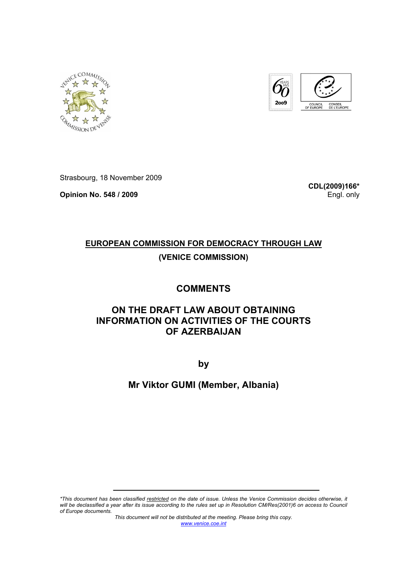



Strasbourg, 18 November 2009

**Opinion No. 548 / 2009** 

**CDL(2009)166\*** Engl. only

# **EUROPEAN COMMISSION FOR DEMOCRACY THROUGH LAW (VENICE COMMISSION)**

## **COMMENTS**

## **ON THE DRAFT LAW ABOUT OBTAINING INFORMATION ON ACTIVITIES OF THE COURTS OF AZERBAIJAN**

**by** 

### **Mr Viktor GUMI (Member, Albania)**

*\*This document has been classified restricted on the date of issue. Unless the Venice Commission decides otherwise, it will be declassified a year after its issue according to the rules set up in Resolution CM/Res(2001)6 on access to Council of Europe documents.* 

*This document will not be distributed at the meeting. Please bring this copy. www.venice.coe.int*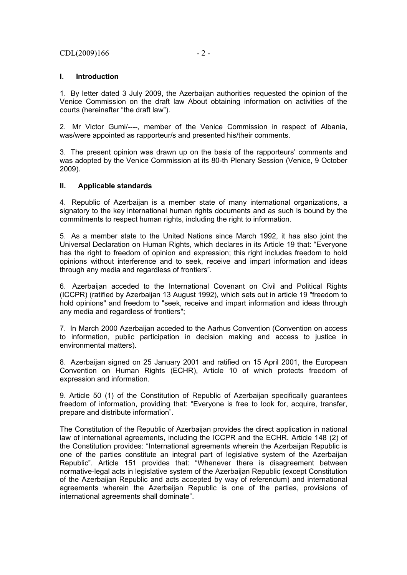#### $CDL(2009)166$  - 2 -

#### **I. Introduction**

1. By letter dated 3 July 2009, the Azerbaijan authorities requested the opinion of the Venice Commission on the draft law About obtaining information on activities of the courts (hereinafter "the draft law").

2. Mr Victor Gumi/----, member of the Venice Commission in respect of Albania, was/were appointed as rapporteur/s and presented his/their comments.

3. The present opinion was drawn up on the basis of the rapporteurs' comments and was adopted by the Venice Commission at its 80-th Plenary Session (Venice, 9 October 2009).

#### **II. Applicable standards**

4. Republic of Azerbaijan is a member state of many international organizations, a signatory to the key international human rights documents and as such is bound by the commitments to respect human rights, including the right to information.

5. As a member state to the United Nations since March 1992, it has also joint the Universal Declaration on Human Rights, which declares in its Article 19 that: "Everyone has the right to freedom of opinion and expression; this right includes freedom to hold opinions without interference and to seek, receive and impart information and ideas through any media and regardless of frontiers".

6. Azerbaijan acceded to the International Covenant on Civil and Political Rights (ICCPR) (ratified by Azerbaijan 13 August 1992), which sets out in article 19 "freedom to hold opinions" and freedom to "seek, receive and impart information and ideas through any media and regardless of frontiers";

7. In March 2000 Azerbaijan acceded to the Aarhus Convention (Convention on access to information, public participation in decision making and access to justice in environmental matters).

8. Azerbaijan signed on 25 January 2001 and ratified on 15 April 2001, the European Convention on Human Rights (ECHR), Article 10 of which protects freedom of expression and information.

9. Article 50 (1) of the Constitution of Republic of Azerbaijan specifically guarantees freedom of information, providing that: "Everyone is free to look for, acquire, transfer, prepare and distribute information".

The Constitution of the Republic of Azerbaijan provides the direct application in national law of international agreements, including the ICCPR and the ECHR. Article 148 (2) of the Constitution provides: "International agreements wherein the Azerbaijan Republic is one of the parties constitute an integral part of legislative system of the Azerbaijan Republic". Article 151 provides that: "Whenever there is disagreement between normative-legal acts in legislative system of the Azerbaijan Republic (except Constitution of the Azerbaijan Republic and acts accepted by way of referendum) and international agreements wherein the Azerbaijan Republic is one of the parties, provisions of international agreements shall dominate".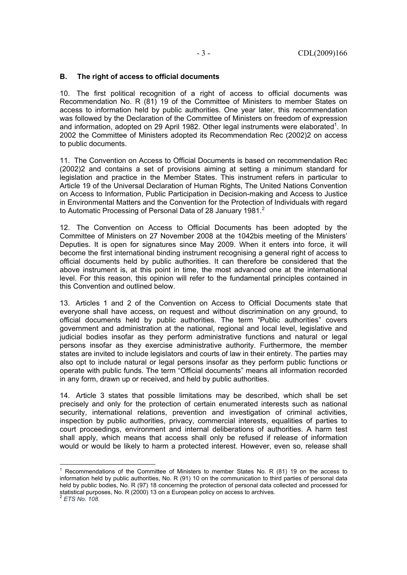#### **B. The right of access to official documents**

10. The first political recognition of a right of access to official documents was Recommendation No. R (81) 19 of the Committee of Ministers to member States on access to information held by public authorities. One year later, this recommendation was followed by the Declaration of the Committee of Ministers on freedom of expression and information, adopted on 29 April 1982. Other legal instruments were elaborated<sup>1</sup>. In 2002 the Committee of Ministers adopted its Recommendation Rec (2002)2 on access to public documents.

11. The Convention on Access to Official Documents is based on recommendation Rec (2002)2 and contains a set of provisions aiming at setting a minimum standard for legislation and practice in the Member States. This instrument refers in particular to Article 19 of the Universal Declaration of Human Rights, The United Nations Convention on Access to Information, Public Participation in Decision-making and Access to Justice in Environmental Matters and the Convention for the Protection of Individuals with regard to Automatic Processing of Personal Data of 28 January 1981.<sup>2</sup>

12. The Convention on Access to Official Documents has been adopted by the Committee of Ministers on 27 November 2008 at the 1042bis meeting of the Ministers' Deputies. It is open for signatures since May 2009. When it enters into force, it will become the first international binding instrument recognising a general right of access to official documents held by public authorities. It can therefore be considered that the above instrument is, at this point in time, the most advanced one at the international level. For this reason, this opinion will refer to the fundamental principles contained in this Convention and outlined below.

13. Articles 1 and 2 of the Convention on Access to Official Documents state that everyone shall have access, on request and without discrimination on any ground, to official documents held by public authorities. The term "Public authorities" covers government and administration at the national, regional and local level, legislative and judicial bodies insofar as they perform administrative functions and natural or legal persons insofar as they exercise administrative authority. Furthermore, the member states are invited to include legislators and courts of law in their entirety. The parties may also opt to include natural or legal persons insofar as they perform public functions or operate with public funds. The term "Official documents" means all information recorded in any form, drawn up or received, and held by public authorities.

14. Article 3 states that possible limitations may be described, which shall be set precisely and only for the protection of certain enumerated interests such as national security, international relations, prevention and investigation of criminal activities, inspection by public authorities, privacy, commercial interests, equalities of parties to court proceedings, environment and internal deliberations of authorities. A harm test shall apply, which means that access shall only be refused if release of information would or would be likely to harm a protected interest. However, even so, release shall

<sup>1&</sup>lt;br>
<sup>1</sup> Recommendations of the Committee of Ministers to member States No. R (81) 19 on the access to information held by public authorities, No. R (91) 10 on the communication to third parties of personal data held by public bodies, No. R (97) 18 concerning the protection of personal data collected and processed for statistical purposes, No. R (2000) 13 on a European policy on access to archives.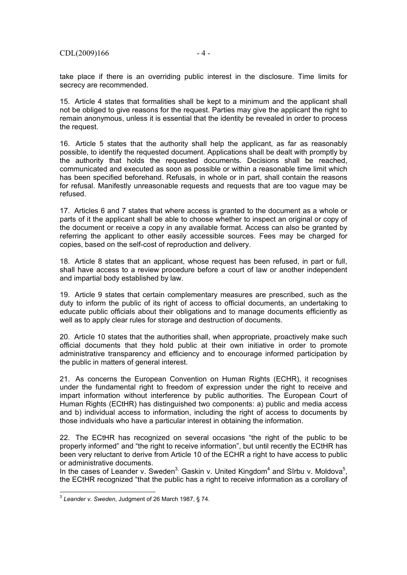take place if there is an overriding public interest in the disclosure. Time limits for secrecy are recommended.

15. Article 4 states that formalities shall be kept to a minimum and the applicant shall not be obliged to give reasons for the request. Parties may give the applicant the right to remain anonymous, unless it is essential that the identity be revealed in order to process the request.

16. Article 5 states that the authority shall help the applicant, as far as reasonably possible, to identify the requested document. Applications shall be dealt with promptly by the authority that holds the requested documents. Decisions shall be reached, communicated and executed as soon as possible or within a reasonable time limit which has been specified beforehand. Refusals, in whole or in part, shall contain the reasons for refusal. Manifestly unreasonable requests and requests that are too vague may be refused.

17. Articles 6 and 7 states that where access is granted to the document as a whole or parts of it the applicant shall be able to choose whether to inspect an original or copy of the document or receive a copy in any available format. Access can also be granted by referring the applicant to other easily accessible sources. Fees may be charged for copies, based on the self-cost of reproduction and delivery.

18. Article 8 states that an applicant, whose request has been refused, in part or full, shall have access to a review procedure before a court of law or another independent and impartial body established by law.

19. Article 9 states that certain complementary measures are prescribed, such as the duty to inform the public of its right of access to official documents, an undertaking to educate public officials about their obligations and to manage documents efficiently as well as to apply clear rules for storage and destruction of documents.

20. Article 10 states that the authorities shall, when appropriate, proactively make such official documents that they hold public at their own initiative in order to promote administrative transparency and efficiency and to encourage informed participation by the public in matters of general interest.

21. As concerns the European Convention on Human Rights (ECHR), it recognises under the fundamental right to freedom of expression under the right to receive and impart information without interference by public authorities. The European Court of Human Rights (ECtHR) has distinguished two components: a) public and media access and b) individual access to information, including the right of access to documents by those individuals who have a particular interest in obtaining the information.

22. The ECtHR has recognized on several occasions "the right of the public to be properly informed" and "the right to receive information", but until recently the ECtHR has been very reluctant to derive from Article 10 of the ECHR a right to have access to public or administrative documents.

In the cases of Leander v. Sweden<sup>3,</sup> Gaskin v. United Kingdom<sup>4</sup> and Sîrbu v. Moldova<sup>5</sup>, the ECtHR recognized "that the public has a right to receive information as a corollary of

j

<sup>3</sup> *Leander v. Sweden*, Judgment of 26 March 1987, § 74.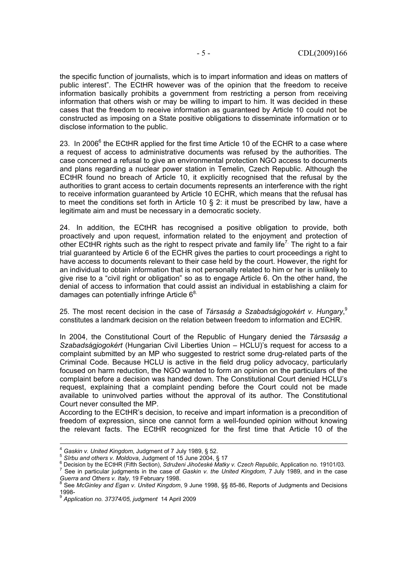the specific function of journalists, which is to impart information and ideas on matters of public interest". The ECtHR however was of the opinion that the freedom to receive information basically prohibits a government from restricting a person from receiving information that others wish or may be willing to impart to him. It was decided in these cases that the freedom to receive information as guaranteed by Article 10 could not be constructed as imposing on a State positive obligations to disseminate information or to disclose information to the public.

23. In 2006 $<sup>6</sup>$  the ECtHR applied for the first time Article 10 of the ECHR to a case where</sup> a request of access to administrative documents was refused by the authorities. The case concerned a refusal to give an environmental protection NGO access to documents and plans regarding a nuclear power station in Temelin, Czech Republic. Although the ECtHR found no breach of Article 10, it explicitly recognised that the refusal by the authorities to grant access to certain documents represents an interference with the right to receive information guaranteed by Article 10 ECHR, which means that the refusal has to meet the conditions set forth in Article 10 § 2: it must be prescribed by law, have a legitimate aim and must be necessary in a democratic society.

24. In addition, the ECtHR has recognised a positive obligation to provide, both proactively and upon request, information related to the enjoyment and protection of other ECtHR rights such as the right to respect private and family life<sup>7</sup>. The right to a fair trial guaranteed by Article 6 of the ECHR gives the parties to court proceedings a right to have access to documents relevant to their case held by the court. However, the right for an individual to obtain information that is not personally related to him or her is unlikely to give rise to a "civil right or obligation" so as to engage Article 6. On the other hand, the denial of access to information that could assist an individual in establishing a claim for damages can potentially infringe Article  $6^{8}$ .

25. The most recent decision in the case of *Társaság a Szabadságjogokért v. Hungary*, 9 constitutes a landmark decision on the relation between freedom to information and ECHR.

In 2004, the Constitutional Court of the Republic of Hungary denied the *Társaság a Szabadságjogokért* (Hungarian Civil Liberties Union – HCLU)'s request for access to a complaint submitted by an MP who suggested to restrict some drug-related parts of the Criminal Code. Because HCLU is active in the field drug policy advocacy, particularly focused on harm reduction, the NGO wanted to form an opinion on the particulars of the complaint before a decision was handed down. The Constitutional Court denied HCLU's request, explaining that a complaint pending before the Court could not be made available to uninvolved parties without the approval of its author. The Constitutional Court never consulted the MP.

According to the ECtHR's decision, to receive and impart information is a precondition of freedom of expression, since one cannot form a well-founded opinion without knowing the relevant facts. The ECtHR recognized for the first time that Article 10 of the

<sup>&</sup>lt;sup>4</sup> Gaskin v. United Kingdom, Judgment of 7 July 1989, § 52.<br><sup>5</sup> Sîrbu and others v. Moldova, Judgment of 15 June 2004, § 17<br><sup>6</sup> Decision by the ECtHR (Fifth Section), Sdruženi Jihočeské Matky v. Czech Republic, Applicatio

See in particular judgments in the case of *Gaskin v. the United Kingdom*, 7 July 1989, and in the case *Guerra and Others v. Italy*, 19 February 1998.<br><sup>8</sup> See McCinters v. *I*n C.

See *McGinley and Egan v. United Kingdom*, 9 June 1998, §§ 85-86, Reports of Judgments and Decisions 1998-

<sup>9</sup> *Application no. 37374/05, judgment* 14 April 2009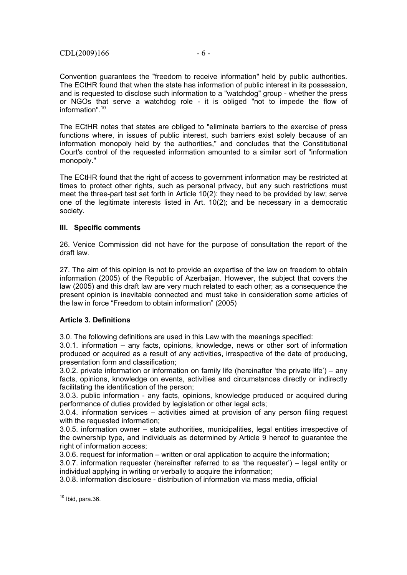Convention guarantees the "freedom to receive information" held by public authorities. The ECtHR found that when the state has information of public interest in its possession, and is requested to disclose such information to a "watchdog" group - whether the press or NGOs that serve a watchdog role - it is obliged "not to impede the flow of information".10

The ECtHR notes that states are obliged to "eliminate barriers to the exercise of press functions where, in issues of public interest, such barriers exist solely because of an information monopoly held by the authorities," and concludes that the Constitutional Court's control of the requested information amounted to a similar sort of "information monopoly."

The ECtHR found that the right of access to government information may be restricted at times to protect other rights, such as personal privacy, but any such restrictions must meet the three-part test set forth in Article 10(2): they need to be provided by law; serve one of the legitimate interests listed in Art. 10(2); and be necessary in a democratic society.

#### **III. Specific comments**

26. Venice Commission did not have for the purpose of consultation the report of the draft law.

27. The aim of this opinion is not to provide an expertise of the law on freedom to obtain information (2005) of the Republic of Azerbaijan. However, the subject that covers the law (2005) and this draft law are very much related to each other; as a consequence the present opinion is inevitable connected and must take in consideration some articles of the law in force "Freedom to obtain information" (2005)

### **Article 3. Definitions**

3.0. The following definitions are used in this Law with the meanings specified:

3.0.1. information – any facts, opinions, knowledge, news or other sort of information produced or acquired as a result of any activities, irrespective of the date of producing, presentation form and classification;

3.0.2. private information or information on family life (hereinafter 'the private life') – any facts, opinions, knowledge on events, activities and circumstances directly or indirectly facilitating the identification of the person;

3.0.3. public information - any facts, opinions, knowledge produced or acquired during performance of duties provided by legislation or other legal acts;

3.0.4. information services – activities aimed at provision of any person filing request with the requested information;

3.0.5. information owner – state authorities, municipalities, legal entities irrespective of the ownership type, and individuals as determined by Article 9 hereof to quarantee the right of information access;

3.0.6. request for information – written or oral application to acquire the information;

3.0.7. information requester (hereinafter referred to as 'the requester') – legal entity or individual applying in writing or verbally to acquire the information;

3.0.8. information disclosure - distribution of information via mass media, official

l  $10$  Ibid, para.36.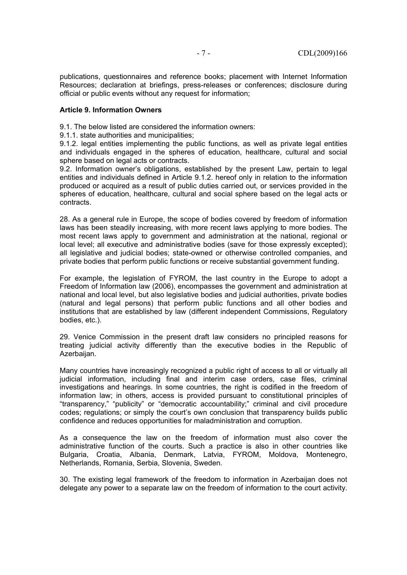publications, questionnaires and reference books; placement with Internet Information Resources; declaration at briefings, press-releases or conferences; disclosure during official or public events without any request for information;

#### **Article 9. Information Owners**

9.1. The below listed are considered the information owners:

9.1.1. state authorities and municipalities;

9.1.2. legal entities implementing the public functions, as well as private legal entities and individuals engaged in the spheres of education, healthcare, cultural and social sphere based on legal acts or contracts.

9.2. Information owner's obligations, established by the present Law, pertain to legal entities and individuals defined in Article 9.1.2. hereof only in relation to the information produced or acquired as a result of public duties carried out, or services provided in the spheres of education, healthcare, cultural and social sphere based on the legal acts or contracts.

28. As a general rule in Europe, the scope of bodies covered by freedom of information laws has been steadily increasing, with more recent laws applying to more bodies. The most recent laws apply to government and administration at the national, regional or local level; all executive and administrative bodies (save for those expressly excepted); all legislative and judicial bodies; state-owned or otherwise controlled companies, and private bodies that perform public functions or receive substantial government funding.

For example, the legislation of FYROM, the last country in the Europe to adopt a Freedom of Information law (2006), encompasses the government and administration at national and local level, but also legislative bodies and judicial authorities, private bodies (natural and legal persons) that perform public functions and all other bodies and institutions that are established by law (different independent Commissions, Regulatory bodies, etc.).

29. Venice Commission in the present draft law considers no principled reasons for treating judicial activity differently than the executive bodies in the Republic of Azerbaijan.

Many countries have increasingly recognized a public right of access to all or virtually all judicial information, including final and interim case orders, case files, criminal investigations and hearings. In some countries, the right is codified in the freedom of information law; in others, access is provided pursuant to constitutional principles of "transparency," "publicity" or "democratic accountability;" criminal and civil procedure codes; regulations; or simply the court's own conclusion that transparency builds public confidence and reduces opportunities for maladministration and corruption.

As a consequence the law on the freedom of information must also cover the administrative function of the courts. Such a practice is also in other countries like Bulgaria, Croatia, Albania, Denmark, Latvia, FYROM, Moldova, Montenegro, Netherlands, Romania, Serbia, Slovenia, Sweden.

30. The existing legal framework of the freedom to information in Azerbaijan does not delegate any power to a separate law on the freedom of information to the court activity.